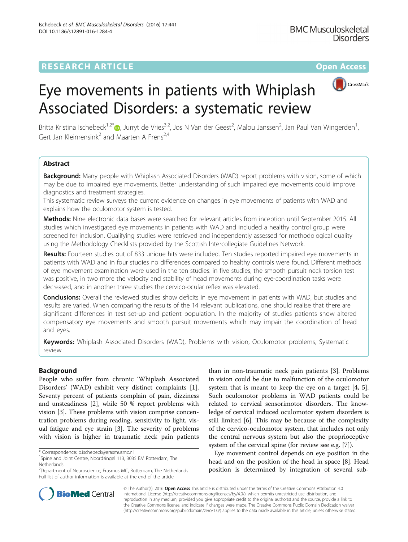## **RESEARCH ARTICLE Example 2014 12:30 The Contract of Contract ACCESS**



# Eye movements in patients with Whiplash Associated Disorders: a systematic review

Britta Kristina Ischebeck<sup>1[,](http://orcid.org/0000-0003-0801-5242)2\*</sup>®, Jurryt de Vries<sup>3,2</sup>, Jos N Van der Geest<sup>2</sup>, Malou Janssen<sup>2</sup>, Jan Paul Van Wingerden<sup>1</sup> , Gert Jan Kleinrensink<sup>2</sup> and Maarten A Frens<sup>2,4</sup>

## Abstract

Background: Many people with Whiplash Associated Disorders (WAD) report problems with vision, some of which may be due to impaired eye movements. Better understanding of such impaired eye movements could improve diagnostics and treatment strategies.

This systematic review surveys the current evidence on changes in eye movements of patients with WAD and explains how the oculomotor system is tested.

Methods: Nine electronic data bases were searched for relevant articles from inception until September 2015. All studies which investigated eye movements in patients with WAD and included a healthy control group were screened for inclusion. Qualifying studies were retrieved and independently assessed for methodological quality using the Methodology Checklists provided by the Scottish Intercollegiate Guidelines Network.

Results: Fourteen studies out of 833 unique hits were included. Ten studies reported impaired eye movements in patients with WAD and in four studies no differences compared to healthy controls were found. Different methods of eye movement examination were used in the ten studies: in five studies, the smooth pursuit neck torsion test was positive, in two more the velocity and stability of head movements during eye-coordination tasks were decreased, and in another three studies the cervico-ocular reflex was elevated.

**Conclusions:** Overall the reviewed studies show deficits in eye movement in patients with WAD, but studies and results are varied. When comparing the results of the 14 relevant publications, one should realise that there are significant differences in test set-up and patient population. In the majority of studies patients show altered compensatory eye movements and smooth pursuit movements which may impair the coordination of head and eyes.

Keywords: Whiplash Associated Disorders (WAD), Problems with vision, Oculomotor problems, Systematic review

## Background

People who suffer from chronic 'Whiplash Associated Disorders' (WAD) exhibit very distinct complaints [\[1](#page-9-0)]. Seventy percent of patients complain of pain, dizziness and unsteadiness [\[2](#page-9-0)], while 50 % report problems with vision [[3\]](#page-9-0). These problems with vision comprise concentration problems during reading, sensitivity to light, visual fatigue and eye strain [[3\]](#page-9-0). The severity of problems with vision is higher in traumatic neck pain patients

than in non-traumatic neck pain patients [[3\]](#page-9-0). Problems in vision could be due to malfunction of the oculomotor system that is meant to keep the eye on a target [\[4](#page-9-0), [5](#page-9-0)]. Such oculomotor problems in WAD patients could be related to cervical sensorimotor disorders. The knowledge of cervical induced oculomotor system disorders is still limited [[6\]](#page-9-0). This may be because of the complexity of the cervico-oculomotor system, that includes not only the central nervous system but also the proprioceptive system of the cervical spine (for review see e.g. [[7\]](#page-9-0)).

Eye movement control depends on eye position in the head and on the position of the head in space [\[8](#page-9-0)]. Head position is determined by integration of several sub-



© The Author(s). 2016 Open Access This article is distributed under the terms of the Creative Commons Attribution 4.0 International License [\(http://creativecommons.org/licenses/by/4.0/](http://creativecommons.org/licenses/by/4.0/)), which permits unrestricted use, distribution, and reproduction in any medium, provided you give appropriate credit to the original author(s) and the source, provide a link to the Creative Commons license, and indicate if changes were made. The Creative Commons Public Domain Dedication waiver [\(http://creativecommons.org/publicdomain/zero/1.0/](http://creativecommons.org/publicdomain/zero/1.0/)) applies to the data made available in this article, unless otherwise stated.

<sup>\*</sup> Correspondence: [b.ischebeck@erasmusmc.nl](mailto:b.ischebeck@erasmusmc.nl) <sup>1</sup>

<sup>&</sup>lt;sup>1</sup>Spine and Joint Centre, Noordsingel 113, 3035 EM Rotterdam, The Netherlands

<sup>&</sup>lt;sup>2</sup>Department of Neuroscience, Erasmus MC, Rotterdam, The Netherlands Full list of author information is available at the end of the article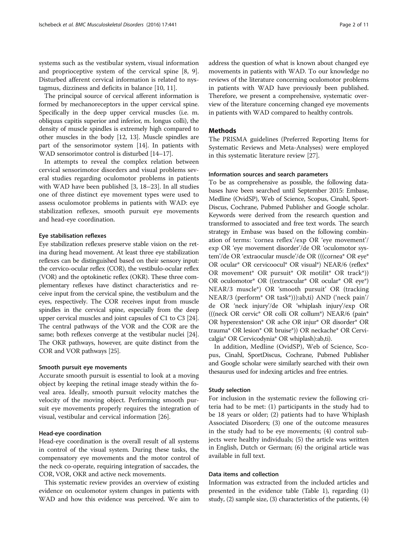systems such as the vestibular system, visual information and proprioceptive system of the cervical spine [\[8](#page-9-0), [9](#page-9-0)]. Disturbed afferent cervical information is related to nystagmus, dizziness and deficits in balance [[10](#page-9-0), [11](#page-9-0)].

The principal source of cervical afferent information is formed by mechanoreceptors in the upper cervical spine. Specifically in the deep upper cervical muscles (i.e. m. obliquus capitis superior and inferior, m. longus colli), the density of muscle spindles is extremely high compared to other muscles in the body [[12](#page-9-0), [13](#page-10-0)]. Muscle spindles are part of the sensorimotor system [[14](#page-10-0)]. In patients with WAD sensorimotor control is disturbed [\[14](#page-10-0)–[17](#page-10-0)].

In attempts to reveal the complex relation between cervical sensorimotor disorders and visual problems several studies regarding oculomotor problems in patients with WAD have been published [\[3](#page-9-0), [18](#page-10-0)–[23\]](#page-10-0). In all studies one of three distinct eye movement types were used to assess oculomotor problems in patients with WAD: eye stabilization reflexes, smooth pursuit eye movements and head-eye coordination.

#### Eye stabilisation reflexes

Eye stabilization reflexes preserve stable vision on the retina during head movement. At least three eye stabilization reflexes can be distinguished based on their sensory input: the cervico-ocular reflex (COR), the vestibulo-ocular reflex (VOR) and the optokinetic reflex (OKR). These three complementary reflexes have distinct characteristics and receive input from the cervical spine, the vestibulum and the eyes, respectively. The COR receives input from muscle spindles in the cervical spine, especially from the deep upper cervical muscles and joint capsules of C1 to C3 [[24](#page-10-0)]. The central pathways of the VOR and the COR are the same; both reflexes converge at the vestibular nuclei [[24](#page-10-0)]. The OKR pathways, however, are quite distinct from the COR and VOR pathways [\[25\]](#page-10-0).

#### Smooth pursuit eye movements

Accurate smooth pursuit is essential to look at a moving object by keeping the retinal image steady within the foveal area. Ideally, smooth pursuit velocity matches the velocity of the moving object. Performing smooth pursuit eye movements properly requires the integration of visual, vestibular and cervical information [[26\]](#page-10-0).

## Head-eye coordination

Head-eye coordination is the overall result of all systems in control of the visual system. During these tasks, the compensatory eye movements and the motor control of the neck co-operate, requiring integration of saccades, the COR, VOR, OKR and active neck movements.

This systematic review provides an overview of existing evidence on oculomotor system changes in patients with WAD and how this evidence was perceived. We aim to

address the question of what is known about changed eye movements in patients with WAD. To our knowledge no reviews of the literature concerning oculomotor problems in patients with WAD have previously been published. Therefore, we present a comprehensive, systematic overview of the literature concerning changed eye movements in patients with WAD compared to healthy controls.

### **Methods**

The PRISMA guidelines (Preferred Reporting Items for Systematic Reviews and Meta-Analyses) were employed in this systematic literature review [\[27](#page-10-0)].

#### Information sources and search parameters

To be as comprehensive as possible, the following databases have been searched until September 2015: Embase, Medline (OvidSP), Web of Science, Scopus, Cinahl, Sport-Discus, Cochrane, Pubmed Publisher and Google scholar. Keywords were derived from the research question and transformed to associated and free text words. The search strategy in Embase was based on the following combination of terms: 'cornea reflex'/exp OR 'eye movement'/ exp OR 'eye movement disorder'/de OR 'oculomotor system'/de OR 'extraocular muscle'/de OR (((cornea\* OR eye\* OR ocular\* OR cervicoocul\* OR visual\*) NEAR/6 (reflex\* OR movement\* OR pursuit\* OR motilit\* OR track\*)) OR oculomotor\* OR ((extraocular\* OR ocular\* OR eye\*) NEAR/3 muscle\*) OR 'smooth pursuit' OR (tracking NEAR/3 (perform\* OR task\*))):ab,ti) AND ('neck pain'/ de OR 'neck injury'/de OR 'whiplash injury'/exp OR (((neck OR cervic\* OR colli OR collum\*) NEAR/6 (pain\* OR hyperextension\* OR ache OR injur\* OR disorder\* OR trauma\* OR lesion\* OR bruise\*)) OR neckache\* OR Cervicalgia\* OR Cervicodynia\* OR whiplash):ab,ti).

In addition, Medline (OvidSP), Web of Science, Scopus, Cinahl, SportDiscus, Cochrane, Pubmed Publisher and Google scholar were similarly searched with their own thesaurus used for indexing articles and free entries.

#### Study selection

For inclusion in the systematic review the following criteria had to be met: (1) participants in the study had to be 18 years or older; (2) patients had to have Whiplash Associated Disorders; (3) one of the outcome measures in the study had to be eye movements; (4) control subjects were healthy individuals; (5) the article was written in English, Dutch or German; (6) the original article was available in full text.

#### Data items and collection

Information was extracted from the included articles and presented in the evidence table (Table [1](#page-2-0)), regarding (1) study, (2) sample size, (3) characteristics of the patients, (4)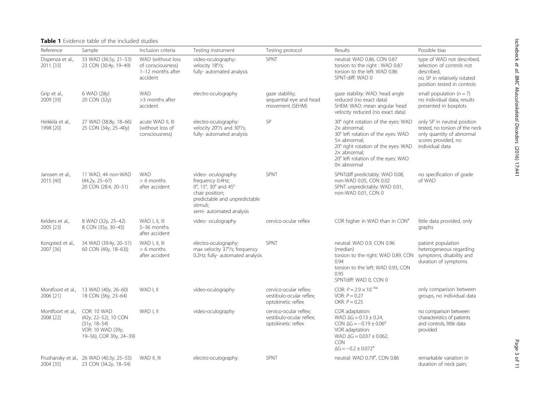## <span id="page-2-0"></span>Table 1 Evidence table of the included studies

| Reference                      | Sample                                                                                                | Inclusion criteria                                                      | Testing instrument                                                                                                                                          | Testing protocol                                                                                                                  | Results                                                                                                                                                                                                                             | Possible bias                                                                                                                        |
|--------------------------------|-------------------------------------------------------------------------------------------------------|-------------------------------------------------------------------------|-------------------------------------------------------------------------------------------------------------------------------------------------------------|-----------------------------------------------------------------------------------------------------------------------------------|-------------------------------------------------------------------------------------------------------------------------------------------------------------------------------------------------------------------------------------|--------------------------------------------------------------------------------------------------------------------------------------|
| Dispenza et al.,<br>2011 [33]  | 33 WAD (36.5y, 21-53)<br>23 CON (30.4y, 19-49)                                                        | WAD (without loss<br>of consciousness)<br>1-12 months after<br>accident | video-oculography:<br>velocity 18°/s;<br>fully- automated analysis                                                                                          | <b>SPNT</b><br>neutral: WAD 0.86, CON 0.87<br>torsion to the right: WAD 0.87<br>torsion to the left: WAD 0.86<br>SPNT-diff: WAD 0 |                                                                                                                                                                                                                                     | type of WAD not described,<br>selection of controls not<br>described.<br>no SP in relatively rotated<br>position tested in controls  |
| Grip et al.,<br>2009 [39]      | 6 WAD (28y)<br>20 CON (32y)                                                                           | <b>WAD</b><br>>3 months after<br>accident                               | electro-oculography                                                                                                                                         | gaze stability;<br>sequential eye and head<br>movement (SEHM)                                                                     | gaze stability: WAD: head angle<br>reduced (no exact data)<br>SHEM: WAD: mean angular head<br>velocity reduced (no exact data)                                                                                                      | small population $(n = 7)$<br>no individual data, results<br>presented in boxplots                                                   |
| Heikkila et al.,<br>1998 [20]  | 27 WAD (38.8y, 18-66)<br>25 CON (34y, 25-40y)                                                         | acute WAD II, III<br>(without loss of<br>consciousness)                 | electro-oculography:<br>velocity 20°/s and 30°/s;<br>fully- automated analysis                                                                              | SP                                                                                                                                | 30° right rotation of the eyes: WAD<br>$2x$ abnormal;<br>30° left rotation of the eyes: WAD<br>$5x$ abnormal;<br>20° right rotation of the eyes: WAD<br>$2x$ abnormal;<br>20° left rotation of the eyes: WAD<br>$0 \times$ abnormal | only SP in neutral position<br>tested, no torsion of the neck<br>only quantity of abnormal<br>scores provided, no<br>individual data |
| Janssen et al.<br>2015 [40]    | 11 WAD, 44 non-WAD<br>$(44.2y, 25-67)$<br>20 CON (28.4, 20-51)                                        | <b>WAD</b><br>$> 6$ months<br>after accident                            | video- oculography:<br>frequency 0.4Hz;<br>0°, 15°, 30° and 45°<br>chair position;<br>predictable and unpredictable<br>stimuli;<br>semi- automated analysis | SPNT                                                                                                                              | SPNTdiff predictably: WAD 0.08,<br>non-WAD 0.05, CON 0.02<br>SPNT unpredictably: WAD 0.01,<br>non-WAD 0.01, CON 0                                                                                                                   | no specification of grade<br>of WAD                                                                                                  |
| Kelders et al.,<br>2005 [23]   | 8 WAD (32y, 25-42)<br>8 CON (35y, 30-45)                                                              | $WAD$ I, II, III<br>5-36 months<br>after accident                       | video- oculography                                                                                                                                          | cervico-ocular reflex                                                                                                             | COR higher in WAD than in CON <sup>a</sup>                                                                                                                                                                                          | little data provided, only<br>graphs                                                                                                 |
| Kongsted et al.,<br>2007 [36]  | 34 WAD (39.4y, 20-51)<br>60 CON (40y, 18-63))                                                         | $WAD$ I, II, III<br>$> 6$ months<br>after accident                      | electro-oculography:<br>max velocity 37°/s; frequency<br>0.2Hz; fully- automated analysis                                                                   | SPNT                                                                                                                              | neutral: WAD 0.9, CON 0.96<br>(median)<br>torsion to the right: WAD 0.89, CON<br>0.94<br>torsion to the left: WAD 0.93, CON<br>0.95<br>SPNTdiff: WAD 0, CON 0                                                                       | patient population<br>heterogeneous regarding<br>symptoms, disability and<br>duration of symptoms                                    |
| Montfoort et al.,<br>2006 [21] | 13 WAD (40y, 26-60)<br>18 CON (36y, 23-64)                                                            | WAD I, II                                                               | video-oculography                                                                                                                                           | cervico-ocular reflex;<br>vestibulo-ocular reflex;<br>optokinetic reflex                                                          | COR: $P = 2.9 \times 10^{-6a}$<br>VOR: $P = 0.27$<br>OKR: $P = 0.25$                                                                                                                                                                | only comparison between<br>groups, no individual data                                                                                |
| Montfoort et al<br>2008 [22]   | COR: 10 WAD<br>(42y, 22-52), 10 CON<br>$(31y, 18-54)$<br>VOR: 10 WAD (39y,<br>19-56), COR 30y, 24-39) | WAD I, II                                                               | video-oculography                                                                                                                                           | cervico-ocular reflex:<br>vestibulo-ocular reflex;<br>optokinetic reflex                                                          | COR adaptation:<br>WAD $\Delta G = 0.13 \pm 0.24$ ,<br>CON $\Delta G = -0.19 \pm 0.06^a$<br>VOR adaptation:<br>WAD $\Delta G = 0.037 \pm 0.062$ ,<br><b>CON</b><br>$\Delta G = -0.2 \pm 0.072$ <sup>a</sup>                         | no comparison between<br>characteristics of patients<br>and controls, little data<br>provided                                        |
| 2004 [35]                      | Prushansky et al., 26 WAD (40.3y, 25-55)<br>23 CON (34.2y, 18-54)                                     | WAD II, III                                                             | electro-oculography:                                                                                                                                        | <b>SPNT</b>                                                                                                                       | neutral: WAD 0.79 <sup>a</sup> , CON 0.86                                                                                                                                                                                           | remarkable variation in<br>duration of neck pain;                                                                                    |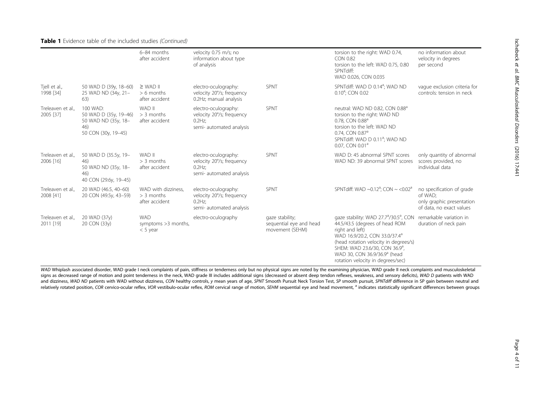### Table 1 Evidence table of the included studies (Continued)

|                                |                                                                                        | 6-84 months<br>after accident                         | velocity 0.75 m/s; no<br>information about type<br>of analysis                             |                                                               | torsion to the right: WAD 0.74,<br><b>CON 0.82</b><br>torsion to the left: WAD 0.75, 0.80<br>SPNTdiff:<br>WAD 0.026, CON 0.035                                                                                                                                                                                               | no information about<br>velocity in degrees<br>per second                                     |
|--------------------------------|----------------------------------------------------------------------------------------|-------------------------------------------------------|--------------------------------------------------------------------------------------------|---------------------------------------------------------------|------------------------------------------------------------------------------------------------------------------------------------------------------------------------------------------------------------------------------------------------------------------------------------------------------------------------------|-----------------------------------------------------------------------------------------------|
| Tiell et al.,<br>1998 [34]     | 50 WAD D (39y, 18-60)<br>25 WAD ND (34y, 21-<br>63)                                    | $\geq$ WAD II<br>$> 6$ months<br>after accident       | electro-oculography:<br>velocity 20°/s; frequency<br>0.2Hz: manual analysis                | SPNT                                                          | SPNTdiff: WAD D 0.14 <sup>a</sup> ; WAD ND<br>$0.10^{\circ}$ : CON 0.02                                                                                                                                                                                                                                                      | vaque exclusion criteria for<br>controls: tension in neck                                     |
| Treleaven et al.,<br>2005 [37] | 100 WAD:<br>50 WAD D (35y, 19-46)<br>50 WAD ND (35y, 18-<br>46)<br>50 CON (30y, 19-45) | WAD II<br>$>$ 3 months<br>after accident              | electro-oculography:<br>velocity 20°/s; frequency<br>$0.2$ Hz:<br>semi- automated analysis | SPNT                                                          | neutral: WAD ND 0.82, CON 0.88 <sup>a</sup><br>torsion to the right: WAD ND<br>0.78, CON 0.88 <sup>a</sup><br>torsion to the left: WAD ND<br>0.74, CON 0.87 <sup>a</sup><br>SPNTdiff: WAD D 0.11 <sup>a</sup> ; WAD ND<br>0.07, CON 0.01 <sup>a</sup>                                                                        |                                                                                               |
| Treleaven et al.,<br>2006 [16] | 50 WAD D (35.5y, 19-<br>46)<br>50 WAD ND (35y, 18-<br>46)<br>40 CON (29.6y, 19-45)     | WAD II<br>$>$ 3 months<br>after accident              | electro-oculography:<br>velocity 20°/s; frequency<br>$0.2$ Hz;<br>semi- automated analysis | SPNT                                                          | WAD D: 45 abnormal SPNT scores<br>WAD ND: 39 abnormal SPNT scores                                                                                                                                                                                                                                                            | only quantity of abnormal<br>scores provided, no<br>individual data                           |
| Treleaven et al.,<br>2008 [41] | 20 WAD (46.5, 40-60)<br>20 CON (49.5y, 43-59)                                          | WAD with dizziness,<br>$>$ 3 months<br>after accident | electro-oculography:<br>velocity 20°/s; frequency<br>$0.2$ Hz:<br>semi- automated analysis | SPNT                                                          | SPNTdiff: WAD ~0.12 <sup>a</sup> ; CON ~ <0.02 <sup>a</sup>                                                                                                                                                                                                                                                                  | no specification of grade<br>of WAD:<br>only graphic presentation<br>of data, no exact values |
| Treleaven et al.,<br>2011 [19] | 20 WAD (37y)<br>20 CON (33y)                                                           | <b>WAD</b><br>symptoms >3 months,<br>$<$ 5 year       | electro-oculography                                                                        | gaze stability;<br>sequential eye and head<br>movement (SEHM) | gaze stability: WAD 27.7 <sup>a</sup> /30.5 <sup>a</sup> , CON<br>44.5/43.5 (degrees of head ROM<br>right and left)<br>WAD 16.9/20.2, CON 33.0/37.4 <sup>a</sup><br>(head rotation velocity in degrees/s)<br>SHEM: WAD 23.6/30, CON 36.9 <sup>a</sup> ,<br>WAD 30, CON 36.9/36.9ª (head<br>rotation velocity in degrees/sec) | remarkable variation in<br>duration of neck pain                                              |

WAD Whiplash associated disorder, WAD grade I neck complaints of pain, stiffness or tenderness only but no physical signs are noted by the examining physician, WAD grade II neck complaints and musculoskeletal signs as decreased range of motion and point tenderness in the neck, WAD grade III includes additional signs (decreased or absent deep tendon reflexes, weakness, and sensory deficits), WAD D patients with WAD and dizziness, WAD ND patients with WAD without dizziness, CON healthy controls, y mean years of age, SPNT Smooth Pursuit Neck Torsion Test, SP smooth pursuit, SPNTdiff difference in SP gain between neutral and relatively rotated position, COR cervico-ocular reflex, VOR vestibulo-ocular reflex, ROM cervical range of motion, SEHM sequential eye and head movement, <sup>a</sup> indicates statistically significant differences between groups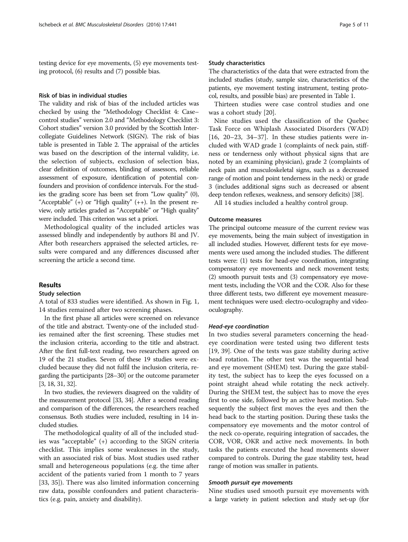testing device for eye movements, (5) eye movements testing protocol, (6) results and (7) possible bias.

#### Risk of bias in individual studies

The validity and risk of bias of the included articles was checked by using the "Methodology Checklist 4: Case– control studies" version 2.0 and "Methodology Checklist 3: Cohort studies" version 3.0 provided by the Scottish Intercollegiate Guidelines Network (SIGN). The risk of bias table is presented in Table [2.](#page-5-0) The appraisal of the articles was based on the description of the internal validity, i.e. the selection of subjects, exclusion of selection bias, clear definition of outcomes, blinding of assessors, reliable assessment of exposure, identification of potential confounders and provision of confidence intervals. For the studies the grading score has been set from "Low quality" (0), "Acceptable" (+) or "High quality" (++). In the present review, only articles graded as "Acceptable" or "High quality" were included. This criterion was set a priori.

Methodological quality of the included articles was assessed blindly and independently by authors BI and JV. After both researchers appraised the selected articles, results were compared and any differences discussed after screening the article a second time.

## Results

#### Study selection

A total of 833 studies were identified. As shown in Fig. [1](#page-7-0), 14 studies remained after two screening phases.

In the first phase all articles were screened on relevance of the title and abstract. Twenty-one of the included studies remained after the first screening. These studies met the inclusion criteria, according to the title and abstract. After the first full-text reading, two researchers agreed on 19 of the 21 studies. Seven of these 19 studies were excluded because they did not fulfil the inclusion criteria, regarding the participants [\[28](#page-10-0)–[30\]](#page-10-0) or the outcome parameter [[3](#page-9-0), [18, 31, 32\]](#page-10-0).

In two studies, the reviewers disagreed on the validity of the measurement protocol [[33](#page-10-0), [34\]](#page-10-0). After a second reading and comparison of the differences, the researchers reached consensus. Both studies were included, resulting in 14 included studies.

The methodological quality of all of the included studies was "acceptable" (+) according to the SIGN criteria checklist. This implies some weaknesses in the study, with an associated risk of bias. Most studies used rather small and heterogeneous populations (e.g. the time after accident of the patients varied from 1 month to 7 years [[33, 35\]](#page-10-0)). There was also limited information concerning raw data, possible confounders and patient characteristics (e.g. pain, anxiety and disability).

#### Study characteristics

The characteristics of the data that were extracted from the included studies (study, sample size, characteristics of the patients, eye movement testing instrument, testing protocol, results, and possible bias) are presented in Table [1.](#page-2-0)

Thirteen studies were case control studies and one was a cohort study [[20\]](#page-10-0).

Nine studies used the classification of the Quebec Task Force on Whiplash Associated Disorders (WAD)  $[16, 20-23, 34-37]$  $[16, 20-23, 34-37]$  $[16, 20-23, 34-37]$  $[16, 20-23, 34-37]$  $[16, 20-23, 34-37]$  $[16, 20-23, 34-37]$  $[16, 20-23, 34-37]$  $[16, 20-23, 34-37]$  $[16, 20-23, 34-37]$ . In these studies patients were included with WAD grade 1 (complaints of neck pain, stiffness or tenderness only without physical signs that are noted by an examining physician), grade 2 (complaints of neck pain and musculoskeletal signs, such as a decreased range of motion and point tenderness in the neck) or grade 3 (includes additional signs such as decreased or absent deep tendon reflexes, weakness, and sensory deficits) [[38\]](#page-10-0).

All 14 studies included a healthy control group.

#### Outcome measures

The principal outcome measure of the current review was eye movements, being the main subject of investigation in all included studies. However, different tests for eye movements were used among the included studies. The different tests were: (1) tests for head-eye coordination, integrating compensatory eye movements and neck movement tests; (2) smooth pursuit tests and (3) compensatory eye movement tests, including the VOR and the COR. Also for these three different tests, two different eye movement measurement techniques were used: electro-oculography and videooculography.

#### Head-eye coordination

In two studies several parameters concerning the headeye coordination were tested using two different tests [[19, 39\]](#page-10-0). One of the tests was gaze stability during active head rotation. The other test was the sequential head and eye movement (SHEM) test. During the gaze stability test, the subject has to keep the eyes focussed on a point straight ahead while rotating the neck actively. During the SHEM test, the subject has to move the eyes first to one side, followed by an active head motion. Subsequently the subject first moves the eyes and then the head back to the starting position. During these tasks the compensatory eye movements and the motor control of the neck co-operate, requiring integration of saccades, the COR, VOR, OKR and active neck movements. In both tasks the patients executed the head movements slower compared to controls. During the gaze stability test, head range of motion was smaller in patients.

#### Smooth pursuit eye movements

Nine studies used smooth pursuit eye movements with a large variety in patient selection and study set-up (for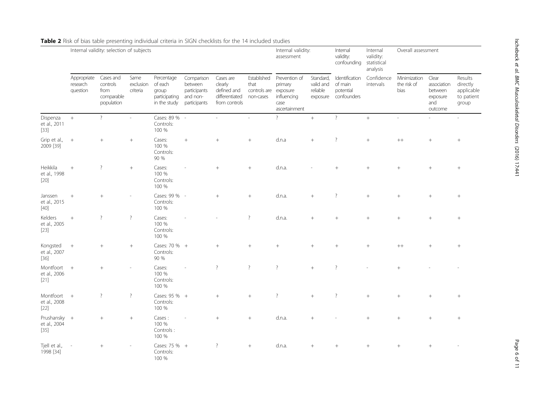|                                        | Internal validity: selection of subjects |                                                           |                               |                                                                 |                                                                   |                                                                        |                                                  | Internal validity:<br>assessment                                             |                                                | Internal<br>validity:<br>confounding statistical      | Internal<br>validity:<br>analysis | Overall assessment                  |                                                               |                                                          |
|----------------------------------------|------------------------------------------|-----------------------------------------------------------|-------------------------------|-----------------------------------------------------------------|-------------------------------------------------------------------|------------------------------------------------------------------------|--------------------------------------------------|------------------------------------------------------------------------------|------------------------------------------------|-------------------------------------------------------|-----------------------------------|-------------------------------------|---------------------------------------------------------------|----------------------------------------------------------|
|                                        | Appropriate<br>research<br>question      | Cases and<br>controls<br>from<br>comparable<br>population | Same<br>exclusion<br>criteria | Percentage<br>of each<br>group<br>participating<br>in the study | Comparison<br>between<br>participants<br>and non-<br>participants | Cases are<br>clearly<br>defined and<br>differentiated<br>from controls | Established<br>that<br>controls are<br>non-cases | Prevention of<br>primary<br>exposure<br>influencing<br>case<br>ascertainment | Standard,<br>valid and<br>reliable<br>exposure | Identification<br>of main<br>potential<br>confounders | Confidence<br>intervals           | Minimization<br>the risk of<br>bias | Clear<br>association<br>between<br>exposure<br>and<br>outcome | Results<br>directly<br>applicable<br>to patient<br>group |
| Dispenza<br>et al., 2011<br>$[33]$     | $\! +$                                   | $\overline{?}$                                            | $\sim$                        | Cases: 89 % -<br>Controls:<br>100 %                             |                                                                   | ÷.                                                                     | ÷,                                               | $\overline{?}$                                                               | $+$                                            | $\overline{?}$                                        | $+$                               | $\overline{\phantom{a}}$            |                                                               | ÷.                                                       |
| Grip et al.,<br>2009 [39]              | $\! +$                                   | $\! +$                                                    | $+$                           | Cases:<br>100 %<br>Controls:<br>90 %                            | $^{+}$                                                            | $^{+}$                                                                 | $+$                                              | d.n.a                                                                        | $+$                                            | $\overline{\cdot}$                                    | $+$                               | $++$                                | $^{+}$                                                        |                                                          |
| Heikkila<br>et al., 1998<br>$[20]$     | $+$                                      | $\overline{\mathcal{E}}$                                  | $^{+}$                        | Cases:<br>100 %<br>Controls:<br>100 %                           |                                                                   | $+$                                                                    | $^{+}$                                           | d.n.a.                                                                       |                                                | $\overline{+}$                                        | $^{+}$                            | $^{+}$                              | $+$                                                           |                                                          |
| Janssen<br>et al., 2015<br>$[40]$      | $^{+}$                                   | $+$                                                       |                               | Cases: 99 % -<br>Controls:<br>100 %                             |                                                                   | $+$                                                                    | $+$                                              | d.n.a.                                                                       | $^{+}$                                         | $\overline{?}$                                        | $+$                               | $^{+}$                              | $^{+}$                                                        | $+$                                                      |
| Kelders<br>et al., 2005<br>$[23]$      | $\! +$                                   | $\overline{?}$                                            | $\overline{?}$                | Cases:<br>100 %<br>Controls:<br>100 %                           |                                                                   |                                                                        | $\overline{?}$                                   | d.n.a.                                                                       | $^{+}$                                         | $^{+}$                                                | $+$                               | $\overline{+}$                      | $\ddot{}$                                                     |                                                          |
| Kongsted<br>et al., 2007<br>$[36]$     | $+$                                      | $+$                                                       | $+$                           | Cases: 70 % +<br>Controls:<br>90 %                              |                                                                   | $+$                                                                    | $^{+}$                                           | $^{+}$                                                                       | $^{+}$                                         | $^{+}$                                                | $^{+}$                            | $++$                                | $+$                                                           |                                                          |
| Montfoort<br>et al., 2006<br>$[21]$    | $+$                                      | $+$                                                       |                               | Cases:<br>100 %<br>Controls:<br>100 %                           |                                                                   | $\overline{?}$                                                         | $\overline{?}$                                   | $\overline{?}$                                                               | $+$                                            | $\overline{\phantom{a}}$                              |                                   | $+$                                 |                                                               |                                                          |
| Montfoort +<br>et al., 2008<br>$[22]$  |                                          | $\overline{\cdot}$                                        | $\overline{\cdot}$            | Cases: 95 % +<br>Controls:<br>100 %                             |                                                                   | $^{+}$                                                                 | $^{+}$                                           | $\overline{?}$                                                               | $^{+}$                                         | $\overline{?}$                                        | $^{+}$                            | $\overline{+}$                      | $^{+}$                                                        |                                                          |
| Prushansky +<br>et al., 2004<br>$[35]$ |                                          | $+$                                                       | $+$                           | Cases:<br>100 %<br>Controls:<br>100 %                           |                                                                   | $+$                                                                    | $^{+}$                                           | d.n.a.                                                                       | $+$                                            |                                                       | $^{+}$                            | $+$                                 | $^{+}$                                                        | $^{+}$                                                   |
| Tjell et al.,<br>1998 [34]             |                                          |                                                           |                               | Cases: 75 % +<br>Controls:<br>100 %                             |                                                                   | $\overline{?}$                                                         | $+$                                              | d.n.a.                                                                       | $^{+}$                                         | $\overline{+}$                                        | $^{+}$                            | $\overline{+}$                      | $^{+}$                                                        |                                                          |

## <span id="page-5-0"></span>Table 2 Risk of bias table presenting individual criteria in SIGN checklists for the 14 included studies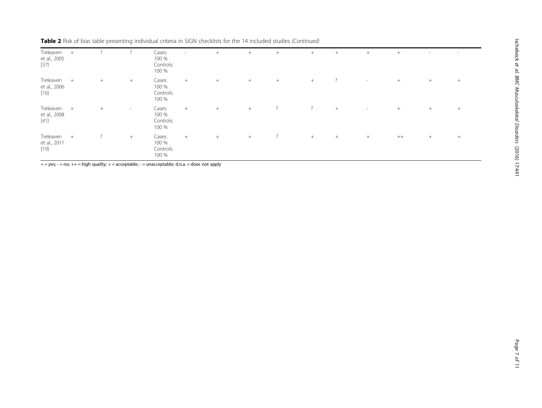| Treleaven<br>et al., 2005<br>[37]   | $+$ |                |        | Cases:<br>100 %<br>Controls:<br>100 % | $\sim$ | $+$    | $+$ | $^{+}$         | $+$            | $+$            | $^{+}$ | $+$  | $\sim$ | $\sim$ |
|-------------------------------------|-----|----------------|--------|---------------------------------------|--------|--------|-----|----------------|----------------|----------------|--------|------|--------|--------|
| Treleaven<br>et al., 2006<br>$[16]$ | $+$ | $+$            | $+$    | Cases:<br>100 %<br>Controls:<br>100 % | $+$    | $^{+}$ | $+$ | $+$            | $+$            | $\overline{?}$ | $\sim$ | $+$  | $+$    | $+$    |
| Treleaven<br>et al., 2008<br>$[41]$ | $+$ | $^{+}$         | $\sim$ | Cases:<br>100 %<br>Controls:<br>100 % | $+$    | $^{+}$ | $+$ | $\overline{?}$ | $\overline{?}$ | $+$            | $\sim$ | $+$  | $+$    | $+$    |
| Treleaven<br>et al., 2011<br>$[19]$ | $+$ | $\overline{?}$ | $+$    | Cases:<br>100 %<br>Controls:<br>100 % | $+$    | $^{+}$ | $+$ | $\overline{?}$ | $+$            | $+$            | $^{+}$ | $++$ | $+$    | $^{+}$ |

Table 2 Risk of bias table presenting individual criteria in SIGN checklists for the 14 included studies (Continued)

 $+ = yes$ ;  $- = no$ ;  $++ = high$  quality;  $+ =$  acceptable;  $- =$  unacceptable; d.n.a.  $=$  does not apply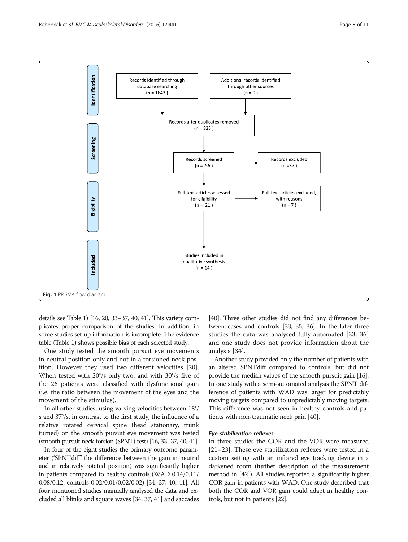<span id="page-7-0"></span>

details see Table [1\)](#page-2-0) [[16, 20, 33](#page-10-0)–[37, 40, 41\]](#page-10-0). This variety complicates proper comparison of the studies. In addition, in some studies set-up information is incomplete. The evidence table (Table [1\)](#page-2-0) shows possible bias of each selected study.

One study tested the smooth pursuit eye movements in neutral position only and not in a torsioned neck position. However they used two different velocities [\[20](#page-10-0)]. When tested with 20°/s only two, and with 30°/s five of the 26 patients were classified with dysfunctional gain (i.e. the ratio between the movement of the eyes and the movement of the stimulus).

In all other studies, using varying velocities between 18°/ s and 37°/s, in contrast to the first study, the influence of a relative rotated cervical spine (head stationary, trunk turned) on the smooth pursuit eye movement was tested (smooth pursuit neck torsion (SPNT) test) [\[16](#page-10-0), [33](#page-10-0)–[37](#page-10-0), [40, 41](#page-10-0)].

In four of the eight studies the primary outcome parameter ('SPNTdiff' the difference between the gain in neutral and in relatively rotated position) was significantly higher in patients compared to healthy controls (WAD 0.14/0.11/ 0.08/0.12, controls 0.02/0.01/0.02/0.02) [\[34](#page-10-0), [37](#page-10-0), [40, 41\]](#page-10-0). All four mentioned studies manually analysed the data and excluded all blinks and square waves [[34](#page-10-0), [37](#page-10-0), [41](#page-10-0)] and saccades

[[40](#page-10-0)]. Three other studies did not find any differences between cases and controls [[33, 35, 36](#page-10-0)]. In the later three studies the data was analysed fully-automated [[33](#page-10-0), [36](#page-10-0)] and one study does not provide information about the analysis [[34\]](#page-10-0).

Another study provided only the number of patients with an altered SPNTdiff compared to controls, but did not provide the median values of the smooth pursuit gain [[16](#page-10-0)]. In one study with a semi-automated analysis the SPNT difference of patients with WAD was larger for predictably moving targets compared to unpredictably moving targets. This difference was not seen in healthy controls and patients with non-traumatic neck pain [\[40\]](#page-10-0).

## Eye stabilization reflexes

In three studies the COR and the VOR were measured [[21](#page-10-0)–[23](#page-10-0)]. These eye stabilization reflexes were tested in a custom setting with an infrared eye tracking device in a darkened room (further description of the measurement method in [[42](#page-10-0)]). All studies reported a significantly higher COR gain in patients with WAD. One study described that both the COR and VOR gain could adapt in healthy controls, but not in patients [\[22\]](#page-10-0).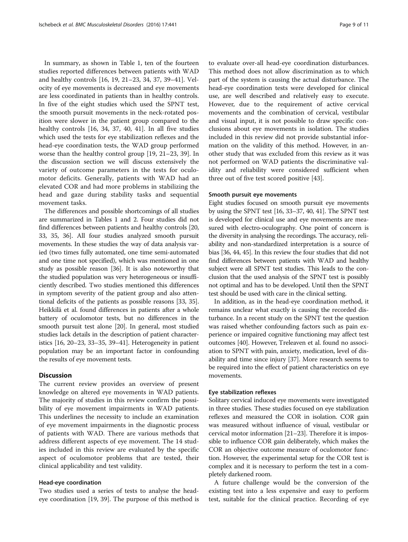In summary, as shown in Table [1](#page-2-0), ten of the fourteen studies reported differences between patients with WAD and healthy controls [\[16](#page-10-0), [19](#page-10-0), [21](#page-10-0)–[23](#page-10-0), [34, 37, 39](#page-10-0)–[41\]](#page-10-0). Velocity of eye movements is decreased and eye movements are less coordinated in patients than in healthy controls. In five of the eight studies which used the SPNT test, the smooth pursuit movements in the neck-rotated position were slower in the patient group compared to the healthy controls [\[16](#page-10-0), [34, 37](#page-10-0), [40](#page-10-0), [41\]](#page-10-0). In all five studies which used the tests for eye stabilization reflexes and the head-eye coordination tests, the WAD group performed worse than the healthy control group [\[19](#page-10-0), [21](#page-10-0)–[23](#page-10-0), [39](#page-10-0)]. In the discussion section we will discuss extensively the variety of outcome parameters in the tests for oculomotor deficits. Generally, patients with WAD had an elevated COR and had more problems in stabilizing the head and gaze during stability tasks and sequential movement tasks.

The differences and possible shortcomings of all studies are summarized in Tables [1](#page-2-0) and [2.](#page-5-0) Four studies did not find differences between patients and healthy controls [[20](#page-10-0), [33](#page-10-0), [35, 36](#page-10-0)]. All four studies analyzed smooth pursuit movements. In these studies the way of data analysis varied (two times fully automated, one time semi-automated and one time not specified), which was mentioned in one study as possible reason [[36](#page-10-0)]. It is also noteworthy that the studied population was very heterogeneous or insufficiently described. Two studies mentioned this differences in symptom severity of the patient group and also attentional deficits of the patients as possible reasons [[33](#page-10-0), [35](#page-10-0)]. Heikkilä et al. found differences in patients after a whole battery of oculomotor tests, but no differences in the smooth pursuit test alone [[20](#page-10-0)]. In general, most studied studies lack details in the description of patient characteristics [[16](#page-10-0), [20](#page-10-0)–[23, 33](#page-10-0)–[35](#page-10-0), [39](#page-10-0)–[41\]](#page-10-0). Heterogeneity in patient population may be an important factor in confounding the results of eye movement tests.

#### **Discussion**

The current review provides an overview of present knowledge on altered eye movements in WAD patients. The majority of studies in this review confirm the possibility of eye movement impairments in WAD patients. This underlines the necessity to include an examination of eye movement impairments in the diagnostic process of patients with WAD. There are various methods that address different aspects of eye movement. The 14 studies included in this review are evaluated by the specific aspect of oculomotor problems that are tested, their clinical applicability and test validity.

### Head-eye coordination

Two studies used a series of tests to analyse the headeye coordination [[19, 39\]](#page-10-0). The purpose of this method is

to evaluate over-all head-eye coordination disturbances. This method does not allow discrimination as to which part of the system is causing the actual disturbance. The head-eye coordination tests were developed for clinical use, are well described and relatively easy to execute. However, due to the requirement of active cervical movements and the combination of cervical, vestibular and visual input, it is not possible to draw specific conclusions about eye movements in isolation. The studies included in this review did not provide substantial information on the validity of this method. However, in another study that was excluded from this review as it was not performed on WAD patients the discriminative validity and reliability were considered sufficient when three out of five test scored positive [[43\]](#page-10-0).

#### Smooth pursuit eye movements

Eight studies focused on smooth pursuit eye movements by using the SPNT test [\[16](#page-10-0), [33](#page-10-0)–[37](#page-10-0), [40, 41\]](#page-10-0). The SPNT test is developed for clinical use and eye movements are measured with electro-oculography. One point of concern is the diversity in analysing the recordings. The accuracy, reliability and non-standardized interpretation is a source of bias [[36](#page-10-0), [44, 45\]](#page-10-0). In this review the four studies that did not find differences between patients with WAD and healthy subject were all SPNT test studies. This leads to the conclusion that the used analysis of the SPNT test is possibly not optimal and has to be developed. Until then the SPNT test should be used with care in the clinical setting.

In addition, as in the head-eye coordination method, it remains unclear what exactly is causing the recorded disturbance. In a recent study on the SPNT test the question was raised whether confounding factors such as pain experience or impaired cognitive functioning may affect test outcomes [[40](#page-10-0)]. However, Treleaven et al. found no association to SPNT with pain, anxiety, medication, level of disability and time since injury [[37](#page-10-0)]. More research seems to be required into the effect of patient characteristics on eye movements.

## Eye stabilization reflexes

Solitary cervical induced eye movements were investigated in three studies. These studies focused on eye stabilization reflexes and measured the COR in isolation. COR gain was measured without influence of visual, vestibular or cervical motor information [[21](#page-10-0)–[23\]](#page-10-0). Therefore it is impossible to influence COR gain deliberately, which makes the COR an objective outcome measure of oculomotor function. However, the experimental setup for the COR test is complex and it is necessary to perform the test in a completely darkened room.

A future challenge would be the conversion of the existing test into a less expensive and easy to perform test, suitable for the clinical practice. Recording of eye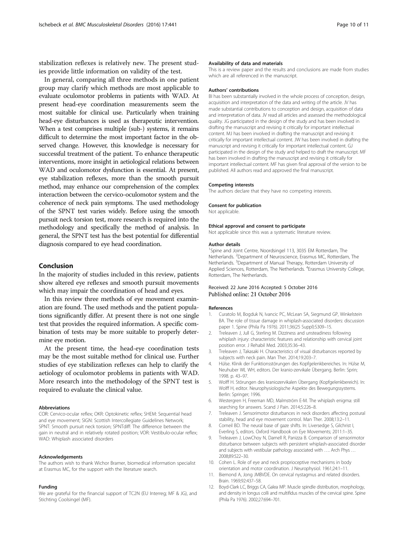<span id="page-9-0"></span>stabilization reflexes is relatively new. The present studies provide little information on validity of the test.

In general, comparing all three methods in one patient group may clarify which methods are most applicable to evaluate oculomotor problems in patients with WAD. At present head-eye coordination measurements seem the most suitable for clinical use. Particularly when training head-eye disturbances is used as therapeutic intervention. When a test comprises multiple (sub-) systems, it remains difficult to determine the most important factor in the observed change. However, this knowledge is necessary for successful treatment of the patient. To enhance therapeutic interventions, more insight in aetiological relations between WAD and oculomotor dysfunction is essential. At present, eye stabilization reflexes, more than the smooth pursuit method, may enhance our comprehension of the complex interaction between the cervico-oculomotor system and the coherence of neck pain symptoms. The used methodology of the SPNT test varies widely. Before using the smooth pursuit neck torsion test, more research is required into the methodology and specifically the method of analysis. In general, the SPNT test has the best potential for differential diagnosis compared to eye head coordination.

## Conclusion

In the majority of studies included in this review, patients show altered eye reflexes and smooth pursuit movements which may impair the coordination of head and eyes.

In this review three methods of eye movement examination are found. The used methods and the patient populations significantly differ. At present there is not one single test that provides the required information. A specific combination of tests may be more suitable to properly determine eye motion.

At the present time, the head-eye coordination tests may be the most suitable method for clinical use. Further studies of eye stabilization reflexes can help to clarify the aetiology of oculomotor problems in patients with WAD. More research into the methodology of the SPNT test is required to evaluate the clinical value.

#### Abbreviations

COR: Cervico-ocular reflex; OKR: Optokinetic reflex; SHEM: Sequential head and eye movement; SIGN: Scottish Intercollegiate Guidelines Network; SPNT: Smooth pursuit neck torsion; SPNTdiff: The difference between the gain in neutral and in relatively rotated position; VOR: Vestibulo-ocular reflex; WAD: Whiplash associated disorders

#### Acknowledgements

The authors wish to thank Wichor Bramer, biomedical information specialist at Erasmus MC, for the support with the literature search.

#### Funding

We are grateful for the financial support of TC2N (EU Interreg; MF & JG), and Stichting Coolsingel (MF).

#### Availability of data and materials

This is a review paper and the results and conclusions are made from studies which are all referenced in the manuscript.

#### Authors' contributions

BI has been substantially involved in the whole process of conception, design, acquisition and interpretation of the data and writing of the article. JV has made substantial contributions to conception and design, acquisition of data and interpretation of data. JV read all articles and assessed the methodological quality. JG participated in the design of the study and has been involved in drafting the manuscript and revising it critically for important intellectual content. MJ has been involved in drafting the manuscript and revising it critically for important intellectual content. JW has been involved in drafting the manuscript and revising it critically for important intellectual content. GJ participated in the design of the study and helped to draft the manuscript. MF has been involved in drafting the manuscript and revising it critically for important intellectual content. MF has given final approval of the version to be published. All authors read and approved the final manuscript.

#### Competing interests

The authors declare that they have no competing interests.

#### Consent for publication

Not applicable.

#### Ethical approval and consent to participate

Not applicable since this was a systematic literature review.

#### Author details

<sup>1</sup>Spine and Joint Centre, Noordsingel 113, 3035 EM Rotterdam, The Netherlands. <sup>2</sup>Department of Neuroscience, Erasmus MC, Rotterdam, The Netherlands. <sup>3</sup>Department of Manual Therapy, Rotterdam University of Applied Sciences, Rotterdam, The Netherlands. <sup>4</sup>Erasmus University College, Rotterdam, The Netherlands.

#### Received: 22 June 2016 Accepted: 5 October 2016 Published online: 21 October 2016

#### References

- 1. Curatolo M, Bogduk N, Ivancic PC, McLean SA, Siegmund GP, Winkelstein BA. The role of tissue damage in whiplash-associated disorders: discussion paper 1. Spine (Phila Pa 1976). 2011;36(25 Suppl):S309–15.
- 2. Treleaven J, Jull G, Sterling M. Dizziness and unsteadiness following whiplash injury: characteristic features and relationship with cervical joint position error. J Rehabil Med. 2003;35:36–43.
- 3. Treleaven J, Takasaki H. Characteristics of visual disturbances reported by subjects with neck pain. Man Ther. 2014;19:203–7.
- 4. Hülse. Klinik der Funktionsstörungen des Kopfgelenkbereiches. In: Hülse M, Neuhuber WL WH, editors. Der kranio-zervikale Übergang. Berlin: Sprin; 1998. p. 43–97.
- 5. Wolff H. Störungen des kraniozervikalen Übergang (Kopfgelenkbereich). In: Wolff H, editor. Neurophysiologische Aspekte des Bewegungssystems. Berlin: Springer; 1996.
- 6. Westergren H, Freeman MD, Malmström E-M. The whiplash enigma: still searching for answers. Scand J Pain. 2014;5:226–8.
- 7. Treleaven J. Sensorimotor disturbances in neck disorders affecting postural stability, head and eye movement control. Man Ther. 2008;13:2–11.
- 8. Corneil BD. The neural base of gaze shifts. In: Liversedge S, Gilchrist I, Everling S, editors. Oxford Handbook on Eye Movements; 2011:1–35.
- 9. Treleaven J, LowChoy N, Darnell R, Panizza B. Comparison of sensorimotor disturbance between subjects with persistent whiplash-associated disorder and subjects with vestibular pathology associated with …. Arch Phys … 2008;89:522–30.
- 10. Cohen L. Role of eye and neck proprioceptive mechanisms in body orientation and motor coordination. J Neurophysiol. 1961;24:1–11.
- 11. Biemond A, Jong JMBVDE. On cervical nystagmus and related disorders. Brain. 1969;92:437–58.
- 12. Boyd-Clark LC, Briggs CA, Galea MP. Muscle spindle distribution, morphology, and density in longus colli and multifidus muscles of the cervical spine. Spine (Phila Pa 1976). 2002;27:694–701.